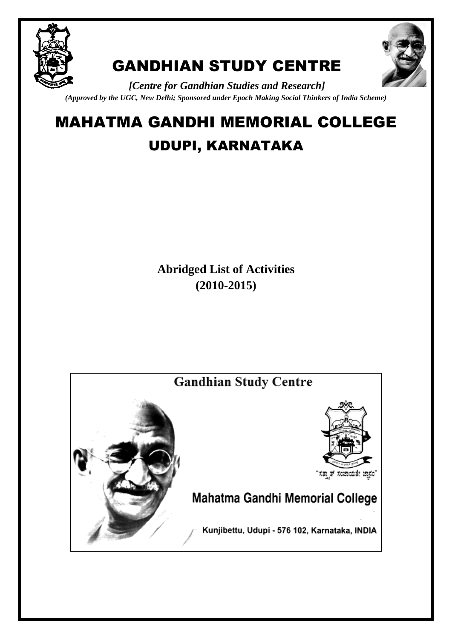

## GANDHIAN STUDY CENTRE



*[Centre for Gandhian Studies and Research] (Approved by the UGC, New Delhi; Sponsored under Epoch Making Social Thinkers of India Scheme)*

# MAHATMA GANDHI MEMORIAL COLLEGE

## UDUPI, KARNATAKA

**Abridged List of Activities (2010-2015)**

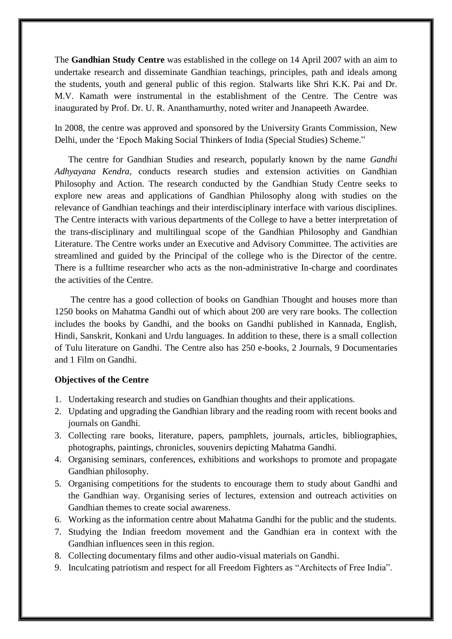The **Gandhian Study Centre** was established in the college on 14 April 2007 with an aim to undertake research and disseminate Gandhian teachings, principles, path and ideals among the students, youth and general public of this region. Stalwarts like Shri K.K. Pai and Dr. M.V. Kamath were instrumental in the establishment of the Centre. The Centre was inaugurated by Prof. Dr. U. R. Ananthamurthy, noted writer and Jnanapeeth Awardee.

In 2008, the centre was approved and sponsored by the University Grants Commission, New Delhi, under the "Epoch Making Social Thinkers of India (Special Studies) Scheme."

 The centre for Gandhian Studies and research, popularly known by the name *Gandhi Adhyayana Kendra,* conducts research studies and extension activities on Gandhian Philosophy and Action. The research conducted by the Gandhian Study Centre seeks to explore new areas and applications of Gandhian Philosophy along with studies on the relevance of Gandhian teachings and their interdisciplinary interface with various disciplines. The Centre interacts with various departments of the College to have a better interpretation of the trans-disciplinary and multilingual scope of the Gandhian Philosophy and Gandhian Literature. The Centre works under an Executive and Advisory Committee. The activities are streamlined and guided by the Principal of the college who is the Director of the centre. There is a fulltime researcher who acts as the non-administrative In-charge and coordinates the activities of the Centre.

 The centre has a good collection of books on Gandhian Thought and houses more than 1250 books on Mahatma Gandhi out of which about 200 are very rare books. The collection includes the books by Gandhi, and the books on Gandhi published in Kannada, English, Hindi, Sanskrit, Konkani and Urdu languages. In addition to these, there is a small collection of Tulu literature on Gandhi. The Centre also has 250 e-books, 2 Journals, 9 Documentaries and 1 Film on Gandhi.

#### **Objectives of the Centre**

- 1. Undertaking research and studies on Gandhian thoughts and their applications.
- 2. Updating and upgrading the Gandhian library and the reading room with recent books and journals on Gandhi.
- 3. Collecting rare books, literature, papers, pamphlets, journals, articles, bibliographies, photographs, paintings, chronicles, souvenirs depicting Mahatma Gandhi.
- 4. Organising seminars, conferences, exhibitions and workshops to promote and propagate Gandhian philosophy.
- 5. Organising competitions for the students to encourage them to study about Gandhi and the Gandhian way. Organising series of lectures, extension and outreach activities on Gandhian themes to create social awareness.
- 6. Working as the information centre about Mahatma Gandhi for the public and the students.
- 7. Studying the Indian freedom movement and the Gandhian era in context with the Gandhian influences seen in this region.
- 8. Collecting documentary films and other audio-visual materials on Gandhi.
- 9. Inculcating patriotism and respect for all Freedom Fighters as "Architects of Free India".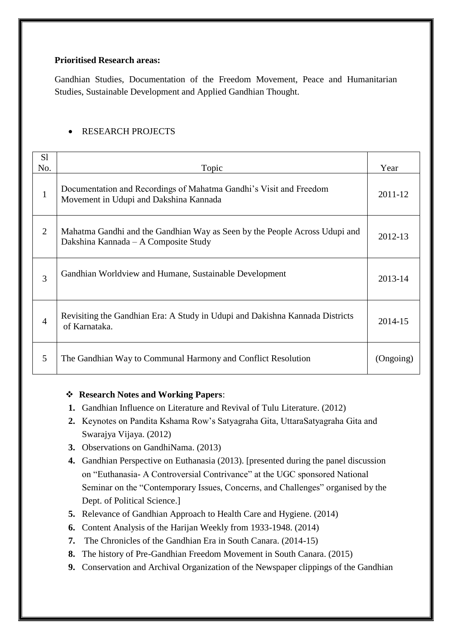#### **Prioritised Research areas:**

Gandhian Studies, Documentation of the Freedom Movement, Peace and Humanitarian Studies, Sustainable Development and Applied Gandhian Thought.

#### RESEARCH PROJECTS

| S <sub>1</sub> |                                                                                                                    |           |
|----------------|--------------------------------------------------------------------------------------------------------------------|-----------|
| No.            | Topic                                                                                                              | Year      |
| $\mathbf{1}$   | Documentation and Recordings of Mahatma Gandhi's Visit and Freedom<br>Movement in Udupi and Dakshina Kannada       | 2011-12   |
| $\overline{2}$ | Mahatma Gandhi and the Gandhian Way as Seen by the People Across Udupi and<br>Dakshina Kannada – A Composite Study |           |
| 3              | Gandhian Worldview and Humane, Sustainable Development                                                             | 2013-14   |
| $\overline{A}$ | Revisiting the Gandhian Era: A Study in Udupi and Dakishna Kannada Districts<br>of Karnataka.                      | 2014-15   |
| 5              | The Gandhian Way to Communal Harmony and Conflict Resolution                                                       | (Ongoing) |

#### **Research Notes and Working Papers**:

- **1.** Gandhian Influence on Literature and Revival of Tulu Literature. (2012)
- **2.** Keynotes on Pandita Kshama Row"s Satyagraha Gita, UttaraSatyagraha Gita and Swarajya Vijaya. (2012)
- **3.** Observations on GandhiNama. (2013)
- **4.** Gandhian Perspective on Euthanasia (2013). [presented during the panel discussion on "Euthanasia- A Controversial Contrivance" at the UGC sponsored National Seminar on the "Contemporary Issues, Concerns, and Challenges" organised by the Dept. of Political Science.]
- **5.** Relevance of Gandhian Approach to Health Care and Hygiene. (2014)
- **6.** Content Analysis of the Harijan Weekly from 1933-1948. (2014)
- **7.** The Chronicles of the Gandhian Era in South Canara. (2014-15)
- **8.** The history of Pre-Gandhian Freedom Movement in South Canara. (2015)
- **9.** Conservation and Archival Organization of the Newspaper clippings of the Gandhian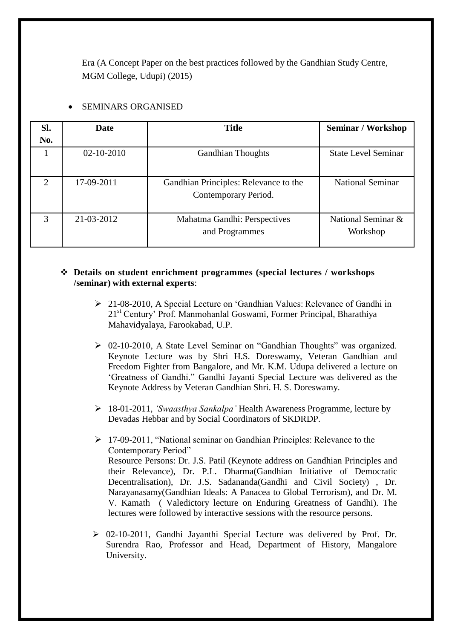Era (A Concept Paper on the best practices followed by the Gandhian Study Centre, MGM College, Udupi) (2015)

| SI. | Date             | <b>Title</b>                                                  | <b>Seminar / Workshop</b>      |
|-----|------------------|---------------------------------------------------------------|--------------------------------|
| No. |                  |                                                               |                                |
|     | $02 - 10 - 2010$ | <b>Gandhian Thoughts</b>                                      | <b>State Level Seminar</b>     |
| 2   | 17-09-2011       | Gandhian Principles: Relevance to the<br>Contemporary Period. | <b>National Seminar</b>        |
| 3   | 21-03-2012       | Mahatma Gandhi: Perspectives<br>and Programmes                | National Seminar &<br>Workshop |

#### SEMINARS ORGANISED

#### **Details on student enrichment programmes (special lectures / workshops /seminar) with external experts**:

- 21-08-2010, A Special Lecture on "Gandhian Values: Relevance of Gandhi in 21<sup>st</sup> Century' Prof. Manmohanlal Goswami, Former Principal, Bharathiya Mahavidyalaya, Farookabad, U.P.
- 02-10-2010, A State Level Seminar on "Gandhian Thoughts" was organized. Keynote Lecture was by Shri H.S. Doreswamy, Veteran Gandhian and Freedom Fighter from Bangalore, and Mr. K.M. Udupa delivered a lecture on "Greatness of Gandhi." Gandhi Jayanti Special Lecture was delivered as the Keynote Address by Veteran Gandhian Shri. H. S. Doreswamy.
- 18-01-2011, *"Swaasthya Sankalpa"* Health Awareness Programme, lecture by Devadas Hebbar and by Social Coordinators of SKDRDP.

 17-09-2011, "National seminar on Gandhian Principles: Relevance to the Contemporary Period" Resource Persons: Dr. J.S. Patil (Keynote address on Gandhian Principles and their Relevance), Dr. P.L. Dharma(Gandhian Initiative of Democratic Decentralisation), Dr. J.S. Sadananda(Gandhi and Civil Society) , Dr. Narayanasamy(Gandhian Ideals: A Panacea to Global Terrorism), and Dr. M. V. Kamath ( Valedictory lecture on Enduring Greatness of Gandhi). The lectures were followed by interactive sessions with the resource persons.

 $\geq 02$ -10-2011, Gandhi Jayanthi Special Lecture was delivered by Prof. Dr. Surendra Rao, Professor and Head, Department of History, Mangalore University.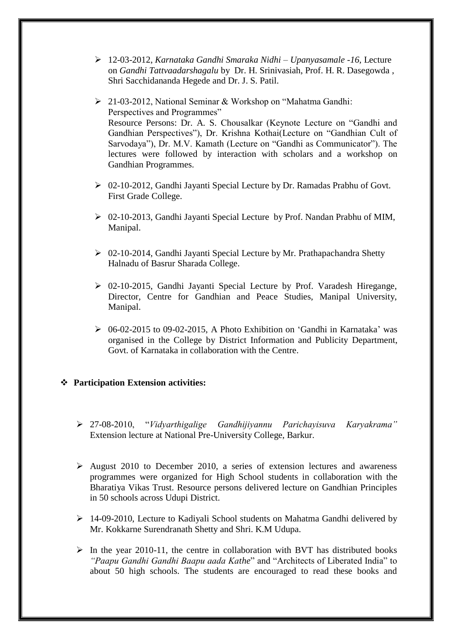- 12-03-2012, *Karnataka Gandhi Smaraka Nidhi – Upanyasamale -16,* Lecture on *Gandhi Tattvaadarshagalu* by Dr. H. Srinivasiah, Prof. H. R. Dasegowda , Shri Sacchidananda Hegede and Dr. J. S. Patil.
- 21-03-2012, National Seminar & Workshop on "Mahatma Gandhi: Perspectives and Programmes" Resource Persons: Dr. A. S. Chousalkar (Keynote Lecture on "Gandhi and Gandhian Perspectives"), Dr. Krishna Kothai(Lecture on "Gandhian Cult of Sarvodaya"), Dr. M.V. Kamath (Lecture on "Gandhi as Communicator"). The lectures were followed by interaction with scholars and a workshop on Gandhian Programmes.
- 02-10-2012, Gandhi Jayanti Special Lecture by Dr. Ramadas Prabhu of Govt. First Grade College.
- 02-10-2013, Gandhi Jayanti Special Lecture by Prof. Nandan Prabhu of MIM, Manipal.
- 02-10-2014, Gandhi Jayanti Special Lecture by Mr. Prathapachandra Shetty Halnadu of Basrur Sharada College.
- 02-10-2015, Gandhi Jayanti Special Lecture by Prof. Varadesh Hiregange, Director, Centre for Gandhian and Peace Studies, Manipal University, Manipal.
- $\geq 06-02-2015$  to 09-02-2015. A Photo Exhibition on 'Gandhi in Karnataka' was organised in the College by District Information and Publicity Department, Govt. of Karnataka in collaboration with the Centre.

#### **Participation Extension activities:**

- 27-08-2010, "*Vidyarthigalige Gandhijiyannu Parichayisuva Karyakrama"* Extension lecture at National Pre-University College, Barkur.
- $\triangleright$  August 2010 to December 2010, a series of extension lectures and awareness programmes were organized for High School students in collaboration with the Bharatiya Vikas Trust. Resource persons delivered lecture on Gandhian Principles in 50 schools across Udupi District.
- 14-09-2010, Lecture to Kadiyali School students on Mahatma Gandhi delivered by Mr. Kokkarne Surendranath Shetty and Shri. K.M Udupa.
- $\triangleright$  In the year 2010-11, the centre in collaboration with BVT has distributed books *"Paapu Gandhi Gandhi Baapu aada Kathe*" and "Architects of Liberated India" to about 50 high schools. The students are encouraged to read these books and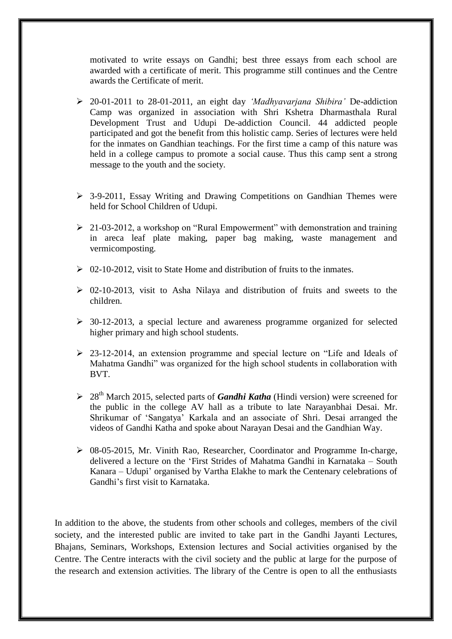motivated to write essays on Gandhi; best three essays from each school are awarded with a certificate of merit. This programme still continues and the Centre awards the Certificate of merit.

- 20-01-2011 to 28-01-2011, an eight day *"Madhyavarjana Shibira"* De-addiction Camp was organized in association with Shri Kshetra Dharmasthala Rural Development Trust and Udupi De-addiction Council. 44 addicted people participated and got the benefit from this holistic camp. Series of lectures were held for the inmates on Gandhian teachings. For the first time a camp of this nature was held in a college campus to promote a social cause. Thus this camp sent a strong message to the youth and the society.
- $\geq$  3-9-2011, Essay Writing and Drawing Competitions on Gandhian Themes were held for School Children of Udupi.
- $\geq 21-03-2012$ , a workshop on "Rural Empowerment" with demonstration and training in areca leaf plate making, paper bag making, waste management and vermicomposting.
- $\geq 02$ -10-2012, visit to State Home and distribution of fruits to the inmates.
- $\geq 02$ -10-2013, visit to Asha Nilaya and distribution of fruits and sweets to the children.
- 30-12-2013, a special lecture and awareness programme organized for selected higher primary and high school students.
- $\geq$  23-12-2014, an extension programme and special lecture on "Life and Ideals of Mahatma Gandhi" was organized for the high school students in collaboration with BVT.
- 28th March 2015, selected parts of *Gandhi Katha* (Hindi version) were screened for the public in the college AV hall as a tribute to late Narayanbhai Desai. Mr. Shrikumar of "Sangatya" Karkala and an associate of Shri. Desai arranged the videos of Gandhi Katha and spoke about Narayan Desai and the Gandhian Way.
- 08-05-2015, Mr. Vinith Rao, Researcher, Coordinator and Programme In-charge, delivered a lecture on the "First Strides of Mahatma Gandhi in Karnataka – South Kanara – Udupi" organised by Vartha Elakhe to mark the Centenary celebrations of Gandhi"s first visit to Karnataka.

In addition to the above, the students from other schools and colleges, members of the civil society, and the interested public are invited to take part in the Gandhi Jayanti Lectures, Bhajans, Seminars, Workshops, Extension lectures and Social activities organised by the Centre. The Centre interacts with the civil society and the public at large for the purpose of the research and extension activities. The library of the Centre is open to all the enthusiasts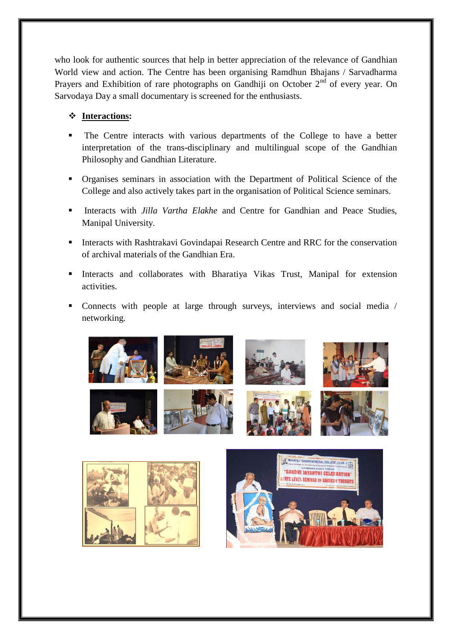who look for authentic sources that help in better appreciation of the relevance of Gandhian World view and action. The Centre has been organising Ramdhun Bhajans / Sarvadharma Prayers and Exhibition of rare photographs on Gandhiji on October  $2<sup>nd</sup>$  of every year. On Sarvodaya Day a small documentary is screened for the enthusiasts.

#### **Interactions:**

- The Centre interacts with various departments of the College to have a better interpretation of the trans-disciplinary and multilingual scope of the Gandhian Philosophy and Gandhian Literature.
- Organises seminars in association with the Department of Political Science of the College and also actively takes part in the organisation of Political Science seminars.
- Interacts with *Jilla Vartha Elakhe* and Centre for Gandhian and Peace Studies, Manipal University.
- **Interacts with Rashtrakavi Govindapai Research Centre and RRC for the conservation** of archival materials of the Gandhian Era.
- Interacts and collaborates with Bharatiya Vikas Trust, Manipal for extension activities.
- Connects with people at large through surveys, interviews and social media / networking.

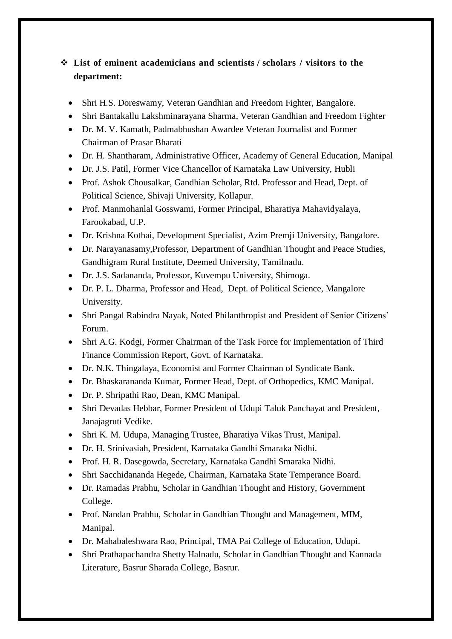#### **List of eminent academicians and scientists / scholars / visitors to the department:**

- Shri H.S. Doreswamy, Veteran Gandhian and Freedom Fighter, Bangalore.
- Shri Bantakallu Lakshminarayana Sharma, Veteran Gandhian and Freedom Fighter
- Dr. M. V. Kamath, Padmabhushan Awardee Veteran Journalist and Former Chairman of Prasar Bharati
- Dr. H. Shantharam, Administrative Officer, Academy of General Education, Manipal
- Dr. J.S. Patil, Former Vice Chancellor of Karnataka Law University, Hubli
- Prof. Ashok Chousalkar, Gandhian Scholar, Rtd. Professor and Head, Dept. of Political Science, Shivaji University, Kollapur.
- Prof. Manmohanlal Gosswami, Former Principal, Bharatiya Mahavidyalaya, Farookabad, U.P.
- Dr. Krishna Kothai, Development Specialist, Azim Premji University, Bangalore.
- Dr. Narayanasamy,Professor, Department of Gandhian Thought and Peace Studies, Gandhigram Rural Institute, Deemed University, Tamilnadu.
- Dr. J.S. Sadananda, Professor, Kuvempu University, Shimoga.
- Dr. P. L. Dharma, Professor and Head, Dept. of Political Science, Mangalore University.
- Shri Pangal Rabindra Nayak, Noted Philanthropist and President of Senior Citizens' Forum.
- Shri A.G. Kodgi, Former Chairman of the Task Force for Implementation of Third Finance Commission Report, Govt. of Karnataka.
- Dr. N.K. Thingalaya, Economist and Former Chairman of Syndicate Bank.
- Dr. Bhaskarananda Kumar, Former Head, Dept. of Orthopedics, KMC Manipal.
- Dr. P. Shripathi Rao, Dean, KMC Manipal.
- Shri Devadas Hebbar, Former President of Udupi Taluk Panchayat and President, Janajagruti Vedike.
- Shri K. M. Udupa, Managing Trustee, Bharatiya Vikas Trust, Manipal.
- Dr. H. Srinivasiah, President, Karnataka Gandhi Smaraka Nidhi.
- Prof. H. R. Dasegowda, Secretary, Karnataka Gandhi Smaraka Nidhi.
- Shri Sacchidananda Hegede, Chairman, Karnataka State Temperance Board.
- Dr. Ramadas Prabhu, Scholar in Gandhian Thought and History, Government College.
- Prof. Nandan Prabhu, Scholar in Gandhian Thought and Management, MIM, Manipal.
- Dr. Mahabaleshwara Rao, Principal, TMA Pai College of Education, Udupi.
- Shri Prathapachandra Shetty Halnadu, Scholar in Gandhian Thought and Kannada Literature, Basrur Sharada College, Basrur.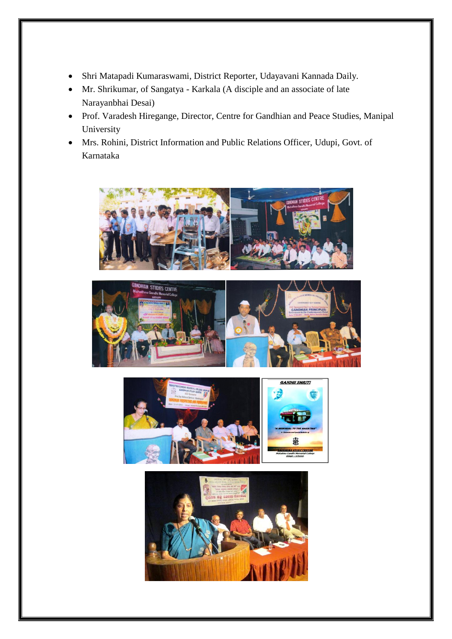- Shri Matapadi Kumaraswami, District Reporter, Udayavani Kannada Daily.
- Mr. Shrikumar, of Sangatya Karkala (A disciple and an associate of late Narayanbhai Desai)
- Prof. Varadesh Hiregange, Director, Centre for Gandhian and Peace Studies, Manipal University
- Mrs. Rohini, District Information and Public Relations Officer, Udupi, Govt. of Karnataka